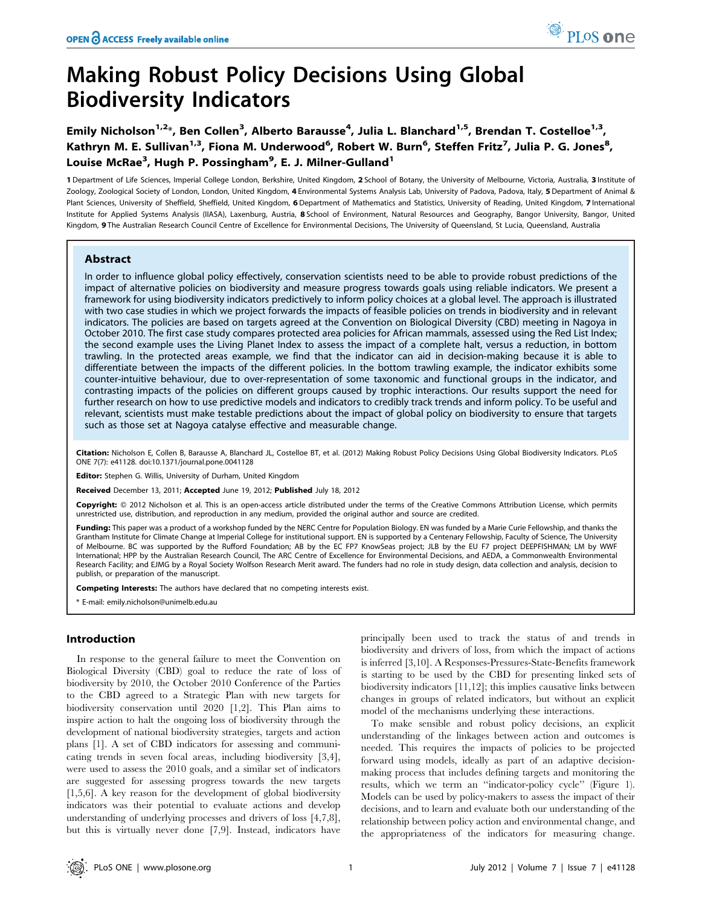# Making Robust Policy Decisions Using Global Biodiversity Indicators

Emily Nicholson<sup>1,2\*</sup>, Ben Collen<sup>3</sup>, Alberto Barausse<sup>4</sup>, Julia L. Blanchard<sup>1,5</sup>, Brendan T. Costelloe<sup>1,3</sup>, Kathryn M. E. Sullivan<sup>1,3</sup>, Fiona M. Underwood<sup>6</sup>, Robert W. Burn<sup>6</sup>, Steffen Fritz<sup>7</sup>, Julia P. G. Jones<sup>8</sup>, Louise McRae<sup>3</sup>, Hugh P. Possingham<sup>9</sup>, E. J. Milner-Gulland<sup>1</sup>

1 Department of Life Sciences, Imperial College London, Berkshire, United Kingdom, 2 School of Botany, the University of Melbourne, Victoria, Australia, 3 Institute of Zoology, Zoological Society of London, London, United Kingdom, 4 Environmental Systems Analysis Lab, University of Padova, Padova, Italy, 5 Department of Animal & Plant Sciences, University of Sheffield, Sheffield, United Kingdom, 6 Department of Mathematics and Statistics, University of Reading, United Kingdom, 7 International Institute for Applied Systems Analysis (IIASA), Laxenburg, Austria, 8 School of Environment, Natural Resources and Geography, Bangor University, Bangor, United Kingdom, 9 The Australian Research Council Centre of Excellence for Environmental Decisions, The University of Queensland, St Lucia, Queensland, Australia

# Abstract

In order to influence global policy effectively, conservation scientists need to be able to provide robust predictions of the impact of alternative policies on biodiversity and measure progress towards goals using reliable indicators. We present a framework for using biodiversity indicators predictively to inform policy choices at a global level. The approach is illustrated with two case studies in which we project forwards the impacts of feasible policies on trends in biodiversity and in relevant indicators. The policies are based on targets agreed at the Convention on Biological Diversity (CBD) meeting in Nagoya in October 2010. The first case study compares protected area policies for African mammals, assessed using the Red List Index; the second example uses the Living Planet Index to assess the impact of a complete halt, versus a reduction, in bottom trawling. In the protected areas example, we find that the indicator can aid in decision-making because it is able to differentiate between the impacts of the different policies. In the bottom trawling example, the indicator exhibits some counter-intuitive behaviour, due to over-representation of some taxonomic and functional groups in the indicator, and contrasting impacts of the policies on different groups caused by trophic interactions. Our results support the need for further research on how to use predictive models and indicators to credibly track trends and inform policy. To be useful and relevant, scientists must make testable predictions about the impact of global policy on biodiversity to ensure that targets such as those set at Nagoya catalyse effective and measurable change.

Citation: Nicholson E, Collen B, Barausse A, Blanchard JL, Costelloe BT, et al. (2012) Making Robust Policy Decisions Using Global Biodiversity Indicators. PLoS ONE 7(7): e41128. doi:10.1371/journal.pone.0041128

Editor: Stephen G. Willis, University of Durham, United Kingdom

Received December 13, 2011; Accepted June 19, 2012; Published July 18, 2012

Copyright: © 2012 Nicholson et al. This is an open-access article distributed under the terms of the Creative Commons Attribution License, which permits unrestricted use, distribution, and reproduction in any medium, provided the original author and source are credited.

Funding: This paper was a product of a workshop funded by the NERC Centre for Population Biology. EN was funded by a Marie Curie Fellowship, and thanks the Grantham Institute for Climate Change at Imperial College for institutional support. EN is supported by a Centenary Fellowship, Faculty of Science, The University of Melbourne. BC was supported by the Rufford Foundation; AB by the EC FP7 KnowSeas project; JLB by the EU F7 project DEEPFISHMAN; LM by WWF International; HPP by the Australian Research Council, The ARC Centre of Excellence for Environmental Decisions, and AEDA, a Commonwealth Environmental Research Facility; and EJMG by a Royal Society Wolfson Research Merit award. The funders had no role in study design, data collection and analysis, decision to publish, or preparation of the manuscript.

Competing Interests: The authors have declared that no competing interests exist.

\* E-mail: emily.nicholson@unimelb.edu.au

### Introduction

In response to the general failure to meet the Convention on Biological Diversity (CBD) goal to reduce the rate of loss of biodiversity by 2010, the October 2010 Conference of the Parties to the CBD agreed to a Strategic Plan with new targets for biodiversity conservation until 2020 [1,2]. This Plan aims to inspire action to halt the ongoing loss of biodiversity through the development of national biodiversity strategies, targets and action plans [1]. A set of CBD indicators for assessing and communicating trends in seven focal areas, including biodiversity [3,4], were used to assess the 2010 goals, and a similar set of indicators are suggested for assessing progress towards the new targets [1,5,6]. A key reason for the development of global biodiversity indicators was their potential to evaluate actions and develop understanding of underlying processes and drivers of loss [4,7,8], but this is virtually never done [7,9]. Instead, indicators have

principally been used to track the status of and trends in biodiversity and drivers of loss, from which the impact of actions is inferred [3,10]. A Responses-Pressures-State-Benefits framework is starting to be used by the CBD for presenting linked sets of biodiversity indicators [11,12]; this implies causative links between changes in groups of related indicators, but without an explicit model of the mechanisms underlying these interactions.

To make sensible and robust policy decisions, an explicit understanding of the linkages between action and outcomes is needed. This requires the impacts of policies to be projected forward using models, ideally as part of an adaptive decisionmaking process that includes defining targets and monitoring the results, which we term an ''indicator-policy cycle'' (Figure 1). Models can be used by policy-makers to assess the impact of their decisions, and to learn and evaluate both our understanding of the relationship between policy action and environmental change, and the appropriateness of the indicators for measuring change.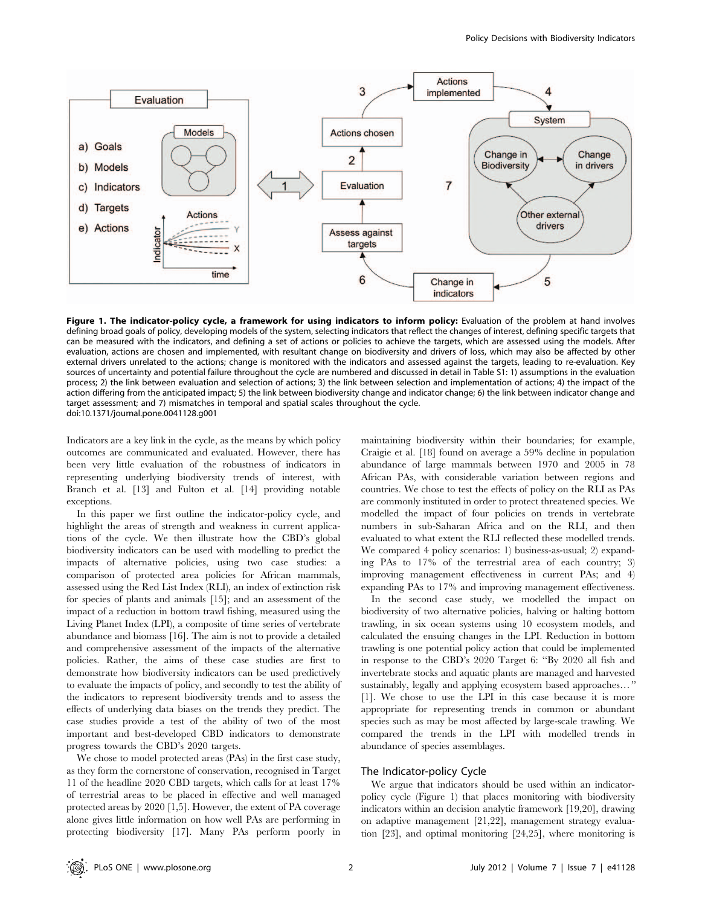

Figure 1. The indicator-policy cycle, a framework for using indicators to inform policy: Evaluation of the problem at hand involves defining broad goals of policy, developing models of the system, selecting indicators that reflect the changes of interest, defining specific targets that can be measured with the indicators, and defining a set of actions or policies to achieve the targets, which are assessed using the models. After evaluation, actions are chosen and implemented, with resultant change on biodiversity and drivers of loss, which may also be affected by other external drivers unrelated to the actions; change is monitored with the indicators and assessed against the targets, leading to re-evaluation. Key sources of uncertainty and potential failure throughout the cycle are numbered and discussed in detail in Table S1: 1) assumptions in the evaluation process; 2) the link between evaluation and selection of actions; 3) the link between selection and implementation of actions; 4) the impact of the action differing from the anticipated impact; 5) the link between biodiversity change and indicator change; 6) the link between indicator change and target assessment; and 7) mismatches in temporal and spatial scales throughout the cycle. doi:10.1371/journal.pone.0041128.g001

Indicators are a key link in the cycle, as the means by which policy outcomes are communicated and evaluated. However, there has been very little evaluation of the robustness of indicators in representing underlying biodiversity trends of interest, with Branch et al. [13] and Fulton et al. [14] providing notable exceptions.

In this paper we first outline the indicator-policy cycle, and highlight the areas of strength and weakness in current applications of the cycle. We then illustrate how the CBD's global biodiversity indicators can be used with modelling to predict the impacts of alternative policies, using two case studies: a comparison of protected area policies for African mammals, assessed using the Red List Index (RLI), an index of extinction risk for species of plants and animals [15]; and an assessment of the impact of a reduction in bottom trawl fishing, measured using the Living Planet Index (LPI), a composite of time series of vertebrate abundance and biomass [16]. The aim is not to provide a detailed and comprehensive assessment of the impacts of the alternative policies. Rather, the aims of these case studies are first to demonstrate how biodiversity indicators can be used predictively to evaluate the impacts of policy, and secondly to test the ability of the indicators to represent biodiversity trends and to assess the effects of underlying data biases on the trends they predict. The case studies provide a test of the ability of two of the most important and best-developed CBD indicators to demonstrate progress towards the CBD's 2020 targets.

We chose to model protected areas (PAs) in the first case study, as they form the cornerstone of conservation, recognised in Target 11 of the headline 2020 CBD targets, which calls for at least 17% of terrestrial areas to be placed in effective and well managed protected areas by 2020 [1,5]. However, the extent of PA coverage alone gives little information on how well PAs are performing in protecting biodiversity [17]. Many PAs perform poorly in maintaining biodiversity within their boundaries; for example, Craigie et al. [18] found on average a 59% decline in population abundance of large mammals between 1970 and 2005 in 78 African PAs, with considerable variation between regions and countries. We chose to test the effects of policy on the RLI as PAs are commonly instituted in order to protect threatened species. We modelled the impact of four policies on trends in vertebrate numbers in sub-Saharan Africa and on the RLI, and then evaluated to what extent the RLI reflected these modelled trends. We compared 4 policy scenarios: 1) business-as-usual; 2) expanding PAs to 17% of the terrestrial area of each country; 3) improving management effectiveness in current PAs; and 4) expanding PAs to 17% and improving management effectiveness.

In the second case study, we modelled the impact on biodiversity of two alternative policies, halving or halting bottom trawling, in six ocean systems using 10 ecosystem models, and calculated the ensuing changes in the LPI. Reduction in bottom trawling is one potential policy action that could be implemented in response to the CBD's 2020 Target 6: ''By 2020 all fish and invertebrate stocks and aquatic plants are managed and harvested sustainably, legally and applying ecosystem based approaches…'' [1]. We chose to use the LPI in this case because it is more appropriate for representing trends in common or abundant species such as may be most affected by large-scale trawling. We compared the trends in the LPI with modelled trends in abundance of species assemblages.

#### The Indicator-policy Cycle

We argue that indicators should be used within an indicatorpolicy cycle (Figure 1) that places monitoring with biodiversity indicators within an decision analytic framework [19,20], drawing on adaptive management [21,22], management strategy evaluation [23], and optimal monitoring [24,25], where monitoring is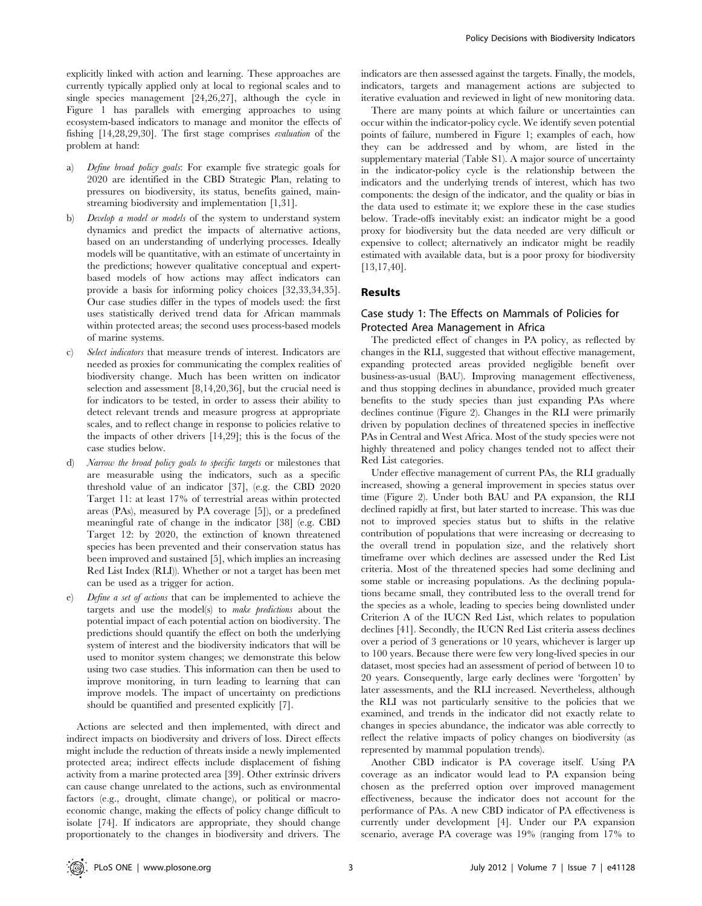explicitly linked with action and learning. These approaches are currently typically applied only at local to regional scales and to single species management [24,26,27], although the cycle in Figure 1 has parallels with emerging approaches to using ecosystem-based indicators to manage and monitor the effects of fishing [14,28,29,30]. The first stage comprises evaluation of the problem at hand:

- a) Define broad policy goals: For example five strategic goals for 2020 are identified in the CBD Strategic Plan, relating to pressures on biodiversity, its status, benefits gained, mainstreaming biodiversity and implementation [1,31].
- b) Develop a model or models of the system to understand system dynamics and predict the impacts of alternative actions, based on an understanding of underlying processes. Ideally models will be quantitative, with an estimate of uncertainty in the predictions; however qualitative conceptual and expertbased models of how actions may affect indicators can provide a basis for informing policy choices [32,33,34,35]. Our case studies differ in the types of models used: the first uses statistically derived trend data for African mammals within protected areas; the second uses process-based models of marine systems.
- c) Select indicators that measure trends of interest. Indicators are needed as proxies for communicating the complex realities of biodiversity change. Much has been written on indicator selection and assessment [8,14,20,36], but the crucial need is for indicators to be tested, in order to assess their ability to detect relevant trends and measure progress at appropriate scales, and to reflect change in response to policies relative to the impacts of other drivers [14,29]; this is the focus of the case studies below.
- d) Narrow the broad policy goals to specific targets or milestones that are measurable using the indicators, such as a specific threshold value of an indicator [37], (e.g. the CBD 2020 Target 11: at least 17% of terrestrial areas within protected areas (PAs), measured by PA coverage [5]), or a predefined meaningful rate of change in the indicator [38] (e.g. CBD Target 12: by 2020, the extinction of known threatened species has been prevented and their conservation status has been improved and sustained [5], which implies an increasing Red List Index (RLI)). Whether or not a target has been met can be used as a trigger for action.
- Define a set of actions that can be implemented to achieve the targets and use the model(s) to make predictions about the potential impact of each potential action on biodiversity. The predictions should quantify the effect on both the underlying system of interest and the biodiversity indicators that will be used to monitor system changes; we demonstrate this below using two case studies. This information can then be used to improve monitoring, in turn leading to learning that can improve models. The impact of uncertainty on predictions should be quantified and presented explicitly [7].

Actions are selected and then implemented, with direct and indirect impacts on biodiversity and drivers of loss. Direct effects might include the reduction of threats inside a newly implemented protected area; indirect effects include displacement of fishing activity from a marine protected area [39]. Other extrinsic drivers can cause change unrelated to the actions, such as environmental factors (e.g., drought, climate change), or political or macroeconomic change, making the effects of policy change difficult to isolate [74]. If indicators are appropriate, they should change proportionately to the changes in biodiversity and drivers. The

indicators are then assessed against the targets. Finally, the models, indicators, targets and management actions are subjected to iterative evaluation and reviewed in light of new monitoring data.

There are many points at which failure or uncertainties can occur within the indicator-policy cycle. We identify seven potential points of failure, numbered in Figure 1; examples of each, how they can be addressed and by whom, are listed in the supplementary material (Table S1). A major source of uncertainty in the indicator-policy cycle is the relationship between the indicators and the underlying trends of interest, which has two components: the design of the indicator, and the quality or bias in the data used to estimate it; we explore these in the case studies below. Trade-offs inevitably exist: an indicator might be a good proxy for biodiversity but the data needed are very difficult or expensive to collect; alternatively an indicator might be readily estimated with available data, but is a poor proxy for biodiversity [13,17,40].

## Results

# Case study 1: The Effects on Mammals of Policies for Protected Area Management in Africa

The predicted effect of changes in PA policy, as reflected by changes in the RLI, suggested that without effective management, expanding protected areas provided negligible benefit over business-as-usual (BAU). Improving management effectiveness, and thus stopping declines in abundance, provided much greater benefits to the study species than just expanding PAs where declines continue (Figure 2). Changes in the RLI were primarily driven by population declines of threatened species in ineffective PAs in Central and West Africa. Most of the study species were not highly threatened and policy changes tended not to affect their Red List categories.

Under effective management of current PAs, the RLI gradually increased, showing a general improvement in species status over time (Figure 2). Under both BAU and PA expansion, the RLI declined rapidly at first, but later started to increase. This was due not to improved species status but to shifts in the relative contribution of populations that were increasing or decreasing to the overall trend in population size, and the relatively short timeframe over which declines are assessed under the Red List criteria. Most of the threatened species had some declining and some stable or increasing populations. As the declining populations became small, they contributed less to the overall trend for the species as a whole, leading to species being downlisted under Criterion A of the IUCN Red List, which relates to population declines [41]. Secondly, the IUCN Red List criteria assess declines over a period of 3 generations or 10 years, whichever is larger up to 100 years. Because there were few very long-lived species in our dataset, most species had an assessment of period of between 10 to 20 years. Consequently, large early declines were 'forgotten' by later assessments, and the RLI increased. Nevertheless, although the RLI was not particularly sensitive to the policies that we examined, and trends in the indicator did not exactly relate to changes in species abundance, the indicator was able correctly to reflect the relative impacts of policy changes on biodiversity (as represented by mammal population trends).

Another CBD indicator is PA coverage itself. Using PA coverage as an indicator would lead to PA expansion being chosen as the preferred option over improved management effectiveness, because the indicator does not account for the performance of PAs. A new CBD indicator of PA effectiveness is currently under development [4]. Under our PA expansion scenario, average PA coverage was 19% (ranging from 17% to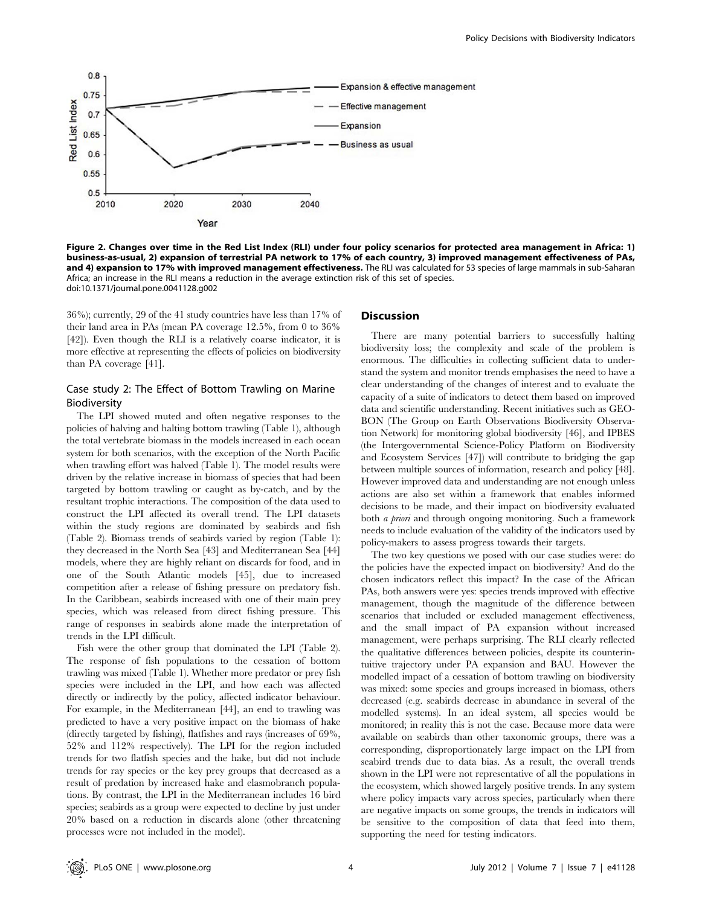

Figure 2. Changes over time in the Red List Index (RLI) under four policy scenarios for protected area management in Africa: 1) business-as-usual, 2) expansion of terrestrial PA network to 17% of each country, 3) improved management effectiveness of PAs, and 4) expansion to 17% with improved management effectiveness. The RLI was calculated for 53 species of large mammals in sub-Saharan Africa; an increase in the RLI means a reduction in the average extinction risk of this set of species. doi:10.1371/journal.pone.0041128.g002

36%); currently, 29 of the 41 study countries have less than 17% of their land area in PAs (mean PA coverage 12.5%, from 0 to 36% [42]). Even though the RLI is a relatively coarse indicator, it is more effective at representing the effects of policies on biodiversity than PA coverage [41].

# Case study 2: The Effect of Bottom Trawling on Marine Biodiversity

The LPI showed muted and often negative responses to the policies of halving and halting bottom trawling (Table 1), although the total vertebrate biomass in the models increased in each ocean system for both scenarios, with the exception of the North Pacific when trawling effort was halved (Table 1). The model results were driven by the relative increase in biomass of species that had been targeted by bottom trawling or caught as by-catch, and by the resultant trophic interactions. The composition of the data used to construct the LPI affected its overall trend. The LPI datasets within the study regions are dominated by seabirds and fish (Table 2). Biomass trends of seabirds varied by region (Table 1): they decreased in the North Sea [43] and Mediterranean Sea [44] models, where they are highly reliant on discards for food, and in one of the South Atlantic models [45], due to increased competition after a release of fishing pressure on predatory fish. In the Caribbean, seabirds increased with one of their main prey species, which was released from direct fishing pressure. This range of responses in seabirds alone made the interpretation of trends in the LPI difficult.

Fish were the other group that dominated the LPI (Table 2). The response of fish populations to the cessation of bottom trawling was mixed (Table 1). Whether more predator or prey fish species were included in the LPI, and how each was affected directly or indirectly by the policy, affected indicator behaviour. For example, in the Mediterranean [44], an end to trawling was predicted to have a very positive impact on the biomass of hake (directly targeted by fishing), flatfishes and rays (increases of 69%, 52% and 112% respectively). The LPI for the region included trends for two flatfish species and the hake, but did not include trends for ray species or the key prey groups that decreased as a result of predation by increased hake and elasmobranch populations. By contrast, the LPI in the Mediterranean includes 16 bird species; seabirds as a group were expected to decline by just under 20% based on a reduction in discards alone (other threatening processes were not included in the model).

#### **Discussion**

There are many potential barriers to successfully halting biodiversity loss; the complexity and scale of the problem is enormous. The difficulties in collecting sufficient data to understand the system and monitor trends emphasises the need to have a clear understanding of the changes of interest and to evaluate the capacity of a suite of indicators to detect them based on improved data and scientific understanding. Recent initiatives such as GEO-BON (The Group on Earth Observations Biodiversity Observation Network) for monitoring global biodiversity [46], and IPBES (the Intergovernmental Science-Policy Platform on Biodiversity and Ecosystem Services [47]) will contribute to bridging the gap between multiple sources of information, research and policy [48]. However improved data and understanding are not enough unless actions are also set within a framework that enables informed decisions to be made, and their impact on biodiversity evaluated both a priori and through ongoing monitoring. Such a framework needs to include evaluation of the validity of the indicators used by policy-makers to assess progress towards their targets.

The two key questions we posed with our case studies were: do the policies have the expected impact on biodiversity? And do the chosen indicators reflect this impact? In the case of the African PAs, both answers were yes: species trends improved with effective management, though the magnitude of the difference between scenarios that included or excluded management effectiveness, and the small impact of PA expansion without increased management, were perhaps surprising. The RLI clearly reflected the qualitative differences between policies, despite its counterintuitive trajectory under PA expansion and BAU. However the modelled impact of a cessation of bottom trawling on biodiversity was mixed: some species and groups increased in biomass, others decreased (e.g. seabirds decrease in abundance in several of the modelled systems). In an ideal system, all species would be monitored; in reality this is not the case. Because more data were available on seabirds than other taxonomic groups, there was a corresponding, disproportionately large impact on the LPI from seabird trends due to data bias. As a result, the overall trends shown in the LPI were not representative of all the populations in the ecosystem, which showed largely positive trends. In any system where policy impacts vary across species, particularly when there are negative impacts on some groups, the trends in indicators will be sensitive to the composition of data that feed into them, supporting the need for testing indicators.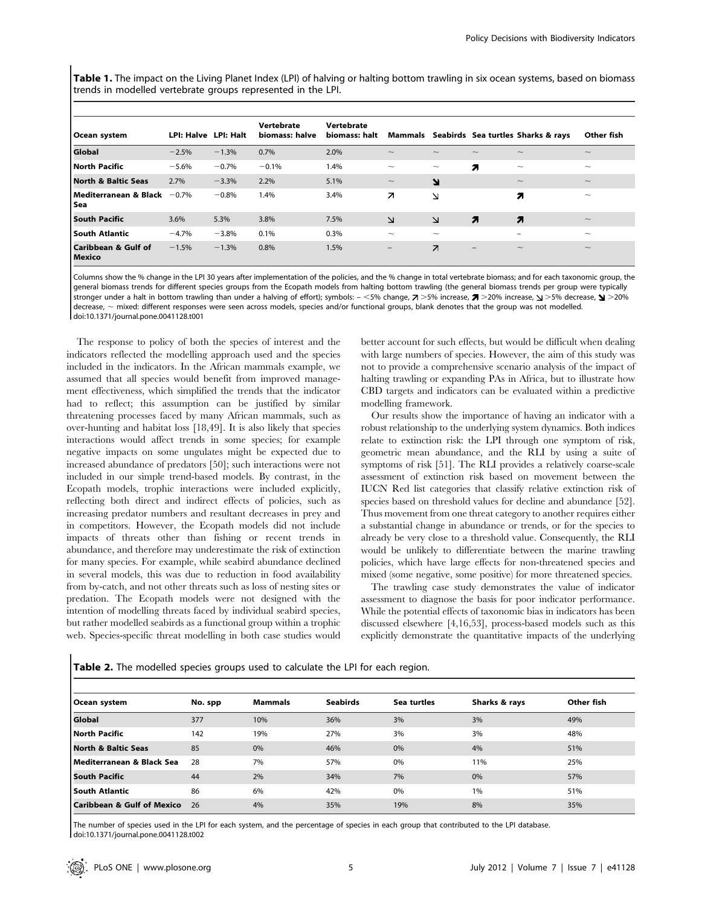Table 1. The impact on the Living Planet Index (LPI) of halving or halting bottom trawling in six ocean systems, based on biomass trends in modelled vertebrate groups represented in the LPI.

| Ocean system                               | LPI: Halve LPI: Halt |         | Vertebrate<br>biomass: halve | Vertebrate<br>biomass: halt |                           |                           |                           | Mammals Seabirds Sea turtles Sharks & rays | Other fish                |
|--------------------------------------------|----------------------|---------|------------------------------|-----------------------------|---------------------------|---------------------------|---------------------------|--------------------------------------------|---------------------------|
| Global                                     | $-2.5%$              | $-1.3%$ | 0.7%                         | 2.0%                        | $\widetilde{\phantom{m}}$ | $\widetilde{\phantom{m}}$ | $\widetilde{\phantom{m}}$ | $\widetilde{\phantom{m}}$                  | $\widetilde{\phantom{m}}$ |
| North Pacific                              | $-5.6%$              | $-0.7%$ | $-0.1%$                      | 1.4%                        | $\widetilde{\phantom{m}}$ | $\widetilde{\phantom{m}}$ | 71                        | $\widetilde{\phantom{m}}$                  | $\widetilde{\phantom{m}}$ |
| North & Baltic Seas                        | 2.7%                 | $-3.3%$ | 2.2%                         | 5.1%                        | $\widetilde{\phantom{m}}$ | N                         |                           | $\widetilde{\phantom{m}}$                  | $\widetilde{\phantom{m}}$ |
| l Mediterranean & Black<br>l Sea           | $-0.7%$              | $-0.8%$ | 1.4%                         | 3.4%                        | Z                         | N                         |                           | 71                                         | $\widetilde{\phantom{m}}$ |
| <b>South Pacific</b>                       | 3.6%                 | 5.3%    | 3.8%                         | 7.5%                        | $\Delta$                  | $\Delta$                  | 7                         | 7                                          | $\widetilde{\phantom{m}}$ |
| l South Atlantic                           | $-4.7%$              | $-3.8%$ | 0.1%                         | 0.3%                        | $\widetilde{\phantom{m}}$ | $\widetilde{\phantom{m}}$ |                           | $\overline{\phantom{0}}$                   | $\widetilde{\phantom{m}}$ |
| <b>Caribbean &amp; Gulf of</b><br>l Mexico | $-1.5%$              | $-1.3%$ | 0.8%                         | 1.5%                        | $\qquad \qquad -$         | $\overline{\phantom{a}}$  | $\qquad \qquad -$         | $\widetilde{\phantom{m}}$                  | $\widetilde{\phantom{m}}$ |

Columns show the % change in the LPI 30 years after implementation of the policies, and the % change in total vertebrate biomass; and for each taxonomic group, the general biomass trends for different species groups from the Ecopath models from halting bottom trawling (the general biomass trends per group were typically stronger under a halt in bottom trawling than under a halving of effort); symbols: - <5% change,  $\ge$  >5% increase,  $\ge$  >20% increase,  $\le$  >5% decrease,  $\le$  >20% decrease,  $\sim$  mixed: different responses were seen across models, species and/or functional groups, blank denotes that the group was not modelled. doi:10.1371/journal.pone.0041128.t001

The response to policy of both the species of interest and the indicators reflected the modelling approach used and the species included in the indicators. In the African mammals example, we assumed that all species would benefit from improved management effectiveness, which simplified the trends that the indicator had to reflect; this assumption can be justified by similar threatening processes faced by many African mammals, such as over-hunting and habitat loss [18,49]. It is also likely that species interactions would affect trends in some species; for example negative impacts on some ungulates might be expected due to increased abundance of predators [50]; such interactions were not included in our simple trend-based models. By contrast, in the Ecopath models, trophic interactions were included explicitly, reflecting both direct and indirect effects of policies, such as increasing predator numbers and resultant decreases in prey and in competitors. However, the Ecopath models did not include impacts of threats other than fishing or recent trends in abundance, and therefore may underestimate the risk of extinction for many species. For example, while seabird abundance declined in several models, this was due to reduction in food availability from by-catch, and not other threats such as loss of nesting sites or predation. The Ecopath models were not designed with the intention of modelling threats faced by individual seabird species, but rather modelled seabirds as a functional group within a trophic web. Species-specific threat modelling in both case studies would

better account for such effects, but would be difficult when dealing with large numbers of species. However, the aim of this study was not to provide a comprehensive scenario analysis of the impact of halting trawling or expanding PAs in Africa, but to illustrate how CBD targets and indicators can be evaluated within a predictive modelling framework.

Our results show the importance of having an indicator with a robust relationship to the underlying system dynamics. Both indices relate to extinction risk: the LPI through one symptom of risk, geometric mean abundance, and the RLI by using a suite of symptoms of risk [51]. The RLI provides a relatively coarse-scale assessment of extinction risk based on movement between the IUCN Red list categories that classify relative extinction risk of species based on threshold values for decline and abundance [52]. Thus movement from one threat category to another requires either a substantial change in abundance or trends, or for the species to already be very close to a threshold value. Consequently, the RLI would be unlikely to differentiate between the marine trawling policies, which have large effects for non-threatened species and mixed (some negative, some positive) for more threatened species.

The trawling case study demonstrates the value of indicator assessment to diagnose the basis for poor indicator performance. While the potential effects of taxonomic bias in indicators has been discussed elsewhere [4,16,53], process-based models such as this explicitly demonstrate the quantitative impacts of the underlying

| Ocean system                          | No. spp | <b>Mammals</b> | <b>Seabirds</b> | Sea turtles | Sharks & rays | Other fish |
|---------------------------------------|---------|----------------|-----------------|-------------|---------------|------------|
| Global                                | 377     | 10%            | 36%             | 3%          | 3%            | 49%        |
| North Pacific                         | 142     | 19%            | 27%             | 3%          | 3%            | 48%        |
| North & Baltic Seas                   | 85      | 0%             | 46%             | 0%          | 4%            | 51%        |
| l Mediterranean & Black Sea           | 28      | 7%             | 57%             | 0%          | 11%           | 25%        |
| <b>South Pacific</b>                  | 44      | 2%             | 34%             | 7%          | 0%            | 57%        |
| South Atlantic                        | 86      | 6%             | 42%             | 0%          | 1%            | 51%        |
| <b>Caribbean &amp; Gulf of Mexico</b> | 26      | 4%             | 35%             | 19%         | 8%            | 35%        |

Table 2. The modelled species groups used to calculate the LPI for each region.

The number of species used in the LPI for each system, and the percentage of species in each group that contributed to the LPI database. doi:10.1371/journal.pone.0041128.t002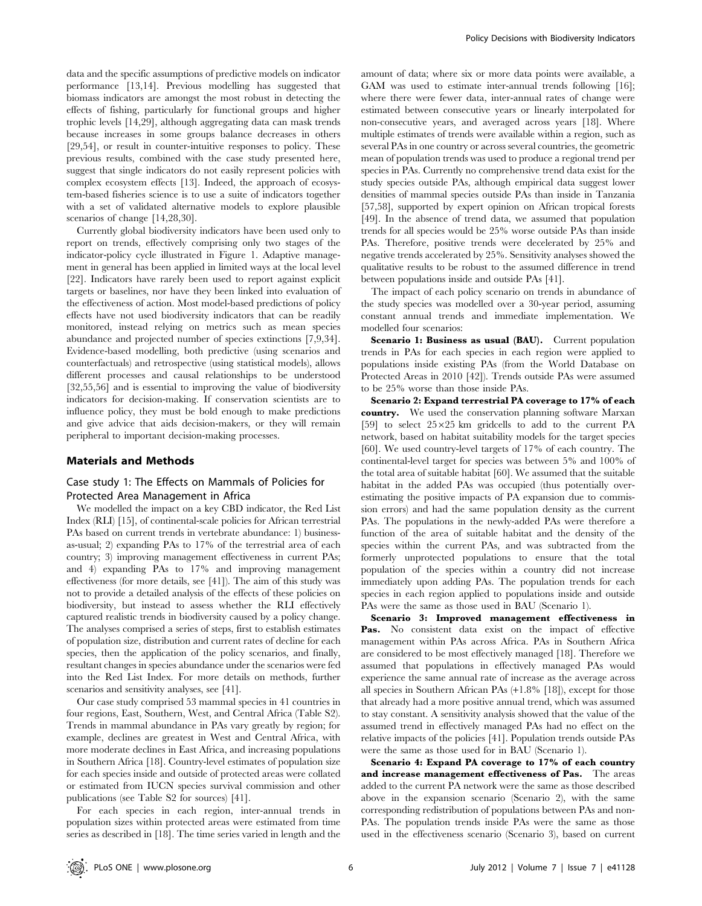data and the specific assumptions of predictive models on indicator performance [13,14]. Previous modelling has suggested that biomass indicators are amongst the most robust in detecting the effects of fishing, particularly for functional groups and higher trophic levels [14,29], although aggregating data can mask trends because increases in some groups balance decreases in others [29,54], or result in counter-intuitive responses to policy. These previous results, combined with the case study presented here, suggest that single indicators do not easily represent policies with complex ecosystem effects [13]. Indeed, the approach of ecosystem-based fisheries science is to use a suite of indicators together with a set of validated alternative models to explore plausible scenarios of change [14,28,30].

Currently global biodiversity indicators have been used only to report on trends, effectively comprising only two stages of the indicator-policy cycle illustrated in Figure 1. Adaptive management in general has been applied in limited ways at the local level [22]. Indicators have rarely been used to report against explicit targets or baselines, nor have they been linked into evaluation of the effectiveness of action. Most model-based predictions of policy effects have not used biodiversity indicators that can be readily monitored, instead relying on metrics such as mean species abundance and projected number of species extinctions [7,9,34]. Evidence-based modelling, both predictive (using scenarios and counterfactuals) and retrospective (using statistical models), allows different processes and causal relationships to be understood [32,55,56] and is essential to improving the value of biodiversity indicators for decision-making. If conservation scientists are to influence policy, they must be bold enough to make predictions and give advice that aids decision-makers, or they will remain peripheral to important decision-making processes.

#### Materials and Methods

# Case study 1: The Effects on Mammals of Policies for Protected Area Management in Africa

We modelled the impact on a key CBD indicator, the Red List Index (RLI) [15], of continental-scale policies for African terrestrial PAs based on current trends in vertebrate abundance: 1) businessas-usual; 2) expanding PAs to 17% of the terrestrial area of each country; 3) improving management effectiveness in current PAs; and 4) expanding PAs to 17% and improving management effectiveness (for more details, see [41]). The aim of this study was not to provide a detailed analysis of the effects of these policies on biodiversity, but instead to assess whether the RLI effectively captured realistic trends in biodiversity caused by a policy change. The analyses comprised a series of steps, first to establish estimates of population size, distribution and current rates of decline for each species, then the application of the policy scenarios, and finally, resultant changes in species abundance under the scenarios were fed into the Red List Index. For more details on methods, further scenarios and sensitivity analyses, see [41].

Our case study comprised 53 mammal species in 41 countries in four regions, East, Southern, West, and Central Africa (Table S2). Trends in mammal abundance in PAs vary greatly by region; for example, declines are greatest in West and Central Africa, with more moderate declines in East Africa, and increasing populations in Southern Africa [18]. Country-level estimates of population size for each species inside and outside of protected areas were collated or estimated from IUCN species survival commission and other publications (see Table S2 for sources) [41].

For each species in each region, inter-annual trends in population sizes within protected areas were estimated from time series as described in [18]. The time series varied in length and the

amount of data; where six or more data points were available, a GAM was used to estimate inter-annual trends following [16]; where there were fewer data, inter-annual rates of change were estimated between consecutive years or linearly interpolated for non-consecutive years, and averaged across years [18]. Where multiple estimates of trends were available within a region, such as several PAs in one country or across several countries, the geometric mean of population trends was used to produce a regional trend per species in PAs. Currently no comprehensive trend data exist for the study species outside PAs, although empirical data suggest lower densities of mammal species outside PAs than inside in Tanzania [57,58], supported by expert opinion on African tropical forests [49]. In the absence of trend data, we assumed that population trends for all species would be 25% worse outside PAs than inside PAs. Therefore, positive trends were decelerated by 25% and negative trends accelerated by 25%. Sensitivity analyses showed the qualitative results to be robust to the assumed difference in trend between populations inside and outside PAs [41].

The impact of each policy scenario on trends in abundance of the study species was modelled over a 30-year period, assuming constant annual trends and immediate implementation. We modelled four scenarios:

Scenario 1: Business as usual (BAU). Current population trends in PAs for each species in each region were applied to populations inside existing PAs (from the World Database on Protected Areas in 2010 [42]). Trends outside PAs were assumed to be 25% worse than those inside PAs.

Scenario 2: Expand terrestrial PA coverage to 17% of each country. We used the conservation planning software Marxan [59] to select  $25\times25$  km gridcells to add to the current PA network, based on habitat suitability models for the target species [60]. We used country-level targets of 17% of each country. The continental-level target for species was between 5% and 100% of the total area of suitable habitat [60]. We assumed that the suitable habitat in the added PAs was occupied (thus potentially overestimating the positive impacts of PA expansion due to commission errors) and had the same population density as the current PAs. The populations in the newly-added PAs were therefore a function of the area of suitable habitat and the density of the species within the current PAs, and was subtracted from the formerly unprotected populations to ensure that the total population of the species within a country did not increase immediately upon adding PAs. The population trends for each species in each region applied to populations inside and outside PAs were the same as those used in BAU (Scenario 1).

Scenario 3: Improved management effectiveness in Pas. No consistent data exist on the impact of effective management within PAs across Africa. PAs in Southern Africa are considered to be most effectively managed [18]. Therefore we assumed that populations in effectively managed PAs would experience the same annual rate of increase as the average across all species in Southern African PAs (+1.8% [18]), except for those that already had a more positive annual trend, which was assumed to stay constant. A sensitivity analysis showed that the value of the assumed trend in effectively managed PAs had no effect on the relative impacts of the policies [41]. Population trends outside PAs were the same as those used for in BAU (Scenario 1).

Scenario 4: Expand PA coverage to 17% of each country and increase management effectiveness of Pas. The areas added to the current PA network were the same as those described above in the expansion scenario (Scenario 2), with the same corresponding redistribution of populations between PAs and non-PAs. The population trends inside PAs were the same as those used in the effectiveness scenario (Scenario 3), based on current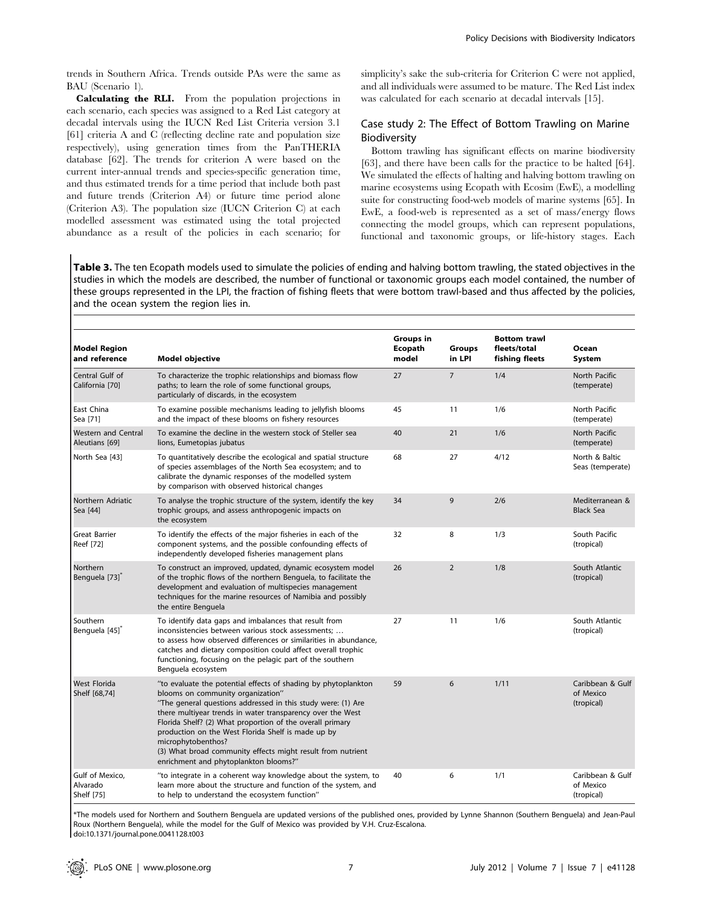trends in Southern Africa. Trends outside PAs were the same as BAU (Scenario 1).

Calculating the RLI. From the population projections in each scenario, each species was assigned to a Red List category at decadal intervals using the IUCN Red List Criteria version 3.1 [61] criteria A and C (reflecting decline rate and population size respectively), using generation times from the PanTHERIA database [62]. The trends for criterion A were based on the current inter-annual trends and species-specific generation time, and thus estimated trends for a time period that include both past and future trends (Criterion A4) or future time period alone (Criterion A3). The population size (IUCN Criterion C) at each modelled assessment was estimated using the total projected abundance as a result of the policies in each scenario; for simplicity's sake the sub-criteria for Criterion C were not applied, and all individuals were assumed to be mature. The Red List index was calculated for each scenario at decadal intervals [15].

# Case study 2: The Effect of Bottom Trawling on Marine Biodiversity

Bottom trawling has significant effects on marine biodiversity [63], and there have been calls for the practice to be halted [64]. We simulated the effects of halting and halving bottom trawling on marine ecosystems using Ecopath with Ecosim (EwE), a modelling suite for constructing food-web models of marine systems [65]. In EwE, a food-web is represented as a set of mass/energy flows connecting the model groups, which can represent populations, functional and taxonomic groups, or life-history stages. Each

Table 3. The ten Ecopath models used to simulate the policies of ending and halving bottom trawling, the stated objectives in the studies in which the models are described, the number of functional or taxonomic groups each model contained, the number of these groups represented in the LPI, the fraction of fishing fleets that were bottom trawl-based and thus affected by the policies, and the ocean system the region lies in.

| <b>Model Region</b><br>and reference         | <b>Model objective</b>                                                                                                                                                                                                                                                                                                                                                                                                                                                             | Groups in<br>Ecopath<br>model | <b>Groups</b><br>in LPI | <b>Bottom trawl</b><br>fleets/total<br>fishing fleets | Ocean<br>System                             |
|----------------------------------------------|------------------------------------------------------------------------------------------------------------------------------------------------------------------------------------------------------------------------------------------------------------------------------------------------------------------------------------------------------------------------------------------------------------------------------------------------------------------------------------|-------------------------------|-------------------------|-------------------------------------------------------|---------------------------------------------|
| Central Gulf of<br>California [70]           | To characterize the trophic relationships and biomass flow<br>paths; to learn the role of some functional groups,<br>particularly of discards, in the ecosystem                                                                                                                                                                                                                                                                                                                    | 27                            | $\overline{7}$          | 1/4                                                   | North Pacific<br>(temperate)                |
| East China<br>Sea [71]                       | To examine possible mechanisms leading to jellyfish blooms<br>and the impact of these blooms on fishery resources                                                                                                                                                                                                                                                                                                                                                                  | 45                            | 11                      | 1/6                                                   | North Pacific<br>(temperate)                |
| <b>Western and Central</b><br>Aleutians [69] | To examine the decline in the western stock of Steller sea<br>lions, Eumetopias jubatus                                                                                                                                                                                                                                                                                                                                                                                            | 40                            | 21                      | 1/6                                                   | North Pacific<br>(temperate)                |
| North Sea [43]                               | To quantitatively describe the ecological and spatial structure<br>of species assemblages of the North Sea ecosystem; and to<br>calibrate the dynamic responses of the modelled system<br>by comparison with observed historical changes                                                                                                                                                                                                                                           | 68                            | 27                      | 4/12                                                  | North & Baltic<br>Seas (temperate)          |
| Northern Adriatic<br>Sea [44]                | To analyse the trophic structure of the system, identify the key<br>trophic groups, and assess anthropogenic impacts on<br>the ecosystem                                                                                                                                                                                                                                                                                                                                           | 34                            | 9                       | 2/6                                                   | Mediterranean &<br><b>Black Sea</b>         |
| <b>Great Barrier</b><br>Reef [72]            | To identify the effects of the major fisheries in each of the<br>component systems, and the possible confounding effects of<br>independently developed fisheries management plans                                                                                                                                                                                                                                                                                                  | 32                            | 8                       | 1/3                                                   | South Pacific<br>(tropical)                 |
| Northern<br>Benguela [73] <sup>*</sup>       | To construct an improved, updated, dynamic ecosystem model<br>of the trophic flows of the northern Benguela, to facilitate the<br>development and evaluation of multispecies management<br>techniques for the marine resources of Namibia and possibly<br>the entire Benguela                                                                                                                                                                                                      | 26                            | $\overline{2}$          | 1/8                                                   | South Atlantic<br>(tropical)                |
| Southern<br>Benguela [45] <sup>*</sup>       | To identify data gaps and imbalances that result from<br>inconsistencies between various stock assessments;<br>to assess how observed differences or similarities in abundance,<br>catches and dietary composition could affect overall trophic<br>functioning, focusing on the pelagic part of the southern<br>Benguela ecosystem                                                                                                                                                 | 27                            | 11                      | 1/6                                                   | South Atlantic<br>(tropical)                |
| <b>West Florida</b><br>Shelf [68,74]         | "to evaluate the potential effects of shading by phytoplankton<br>blooms on community organization"<br>"The general questions addressed in this study were: (1) Are<br>there multiyear trends in water transparency over the West<br>Florida Shelf? (2) What proportion of the overall primary<br>production on the West Florida Shelf is made up by<br>microphytobenthos?<br>(3) What broad community effects might result from nutrient<br>enrichment and phytoplankton blooms?" | 59                            | 6                       | 1/11                                                  | Caribbean & Gulf<br>of Mexico<br>(tropical) |
| Gulf of Mexico,<br>Alvarado<br>Shelf [75]    | "to integrate in a coherent way knowledge about the system, to<br>learn more about the structure and function of the system, and<br>to help to understand the ecosystem function"                                                                                                                                                                                                                                                                                                  | 40                            | 6                       | 1/1                                                   | Caribbean & Gulf<br>of Mexico<br>(tropical) |

\*The models used for Northern and Southern Benguela are updated versions of the published ones, provided by Lynne Shannon (Southern Benguela) and Jean-Paul Roux (Northern Benguela), while the model for the Gulf of Mexico was provided by V.H. Cruz-Escalona. doi:10.1371/journal.pone.0041128.t003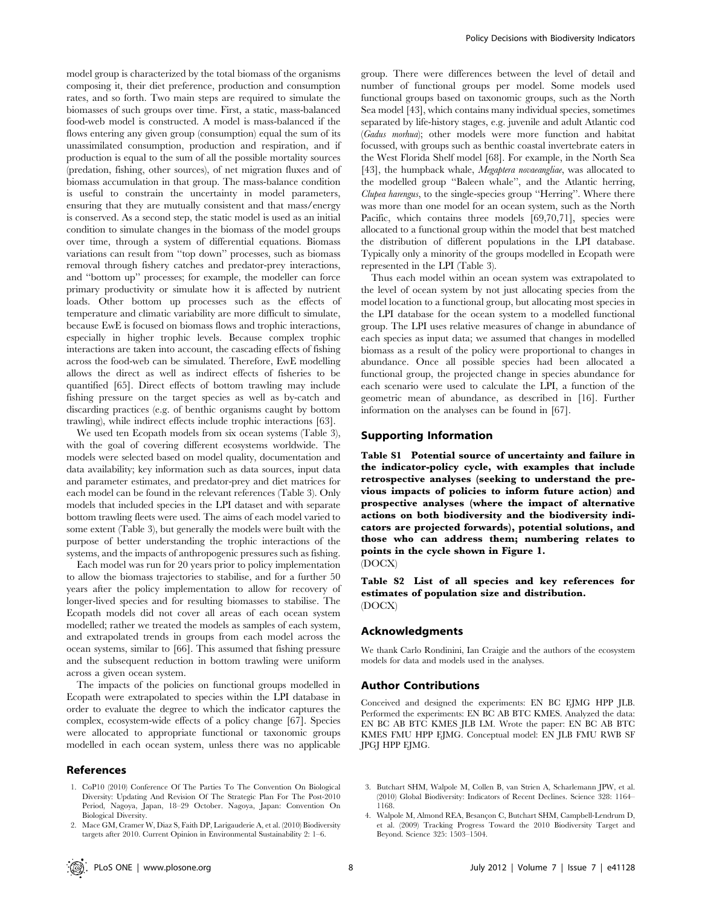model group is characterized by the total biomass of the organisms composing it, their diet preference, production and consumption rates, and so forth. Two main steps are required to simulate the biomasses of such groups over time. First, a static, mass-balanced food-web model is constructed. A model is mass-balanced if the flows entering any given group (consumption) equal the sum of its unassimilated consumption, production and respiration, and if production is equal to the sum of all the possible mortality sources (predation, fishing, other sources), of net migration fluxes and of biomass accumulation in that group. The mass-balance condition is useful to constrain the uncertainty in model parameters, ensuring that they are mutually consistent and that mass/energy is conserved. As a second step, the static model is used as an initial condition to simulate changes in the biomass of the model groups over time, through a system of differential equations. Biomass variations can result from ''top down'' processes, such as biomass removal through fishery catches and predator-prey interactions, and ''bottom up'' processes; for example, the modeller can force primary productivity or simulate how it is affected by nutrient loads. Other bottom up processes such as the effects of temperature and climatic variability are more difficult to simulate, because EwE is focused on biomass flows and trophic interactions, especially in higher trophic levels. Because complex trophic interactions are taken into account, the cascading effects of fishing across the food-web can be simulated. Therefore, EwE modelling allows the direct as well as indirect effects of fisheries to be quantified [65]. Direct effects of bottom trawling may include fishing pressure on the target species as well as by-catch and discarding practices (e.g. of benthic organisms caught by bottom trawling), while indirect effects include trophic interactions [63].

We used ten Ecopath models from six ocean systems (Table 3), with the goal of covering different ecosystems worldwide. The models were selected based on model quality, documentation and data availability; key information such as data sources, input data and parameter estimates, and predator-prey and diet matrices for each model can be found in the relevant references (Table 3). Only models that included species in the LPI dataset and with separate bottom trawling fleets were used. The aims of each model varied to some extent (Table 3), but generally the models were built with the purpose of better understanding the trophic interactions of the systems, and the impacts of anthropogenic pressures such as fishing.

Each model was run for 20 years prior to policy implementation to allow the biomass trajectories to stabilise, and for a further 50 years after the policy implementation to allow for recovery of longer-lived species and for resulting biomasses to stabilise. The Ecopath models did not cover all areas of each ocean system modelled; rather we treated the models as samples of each system, and extrapolated trends in groups from each model across the ocean systems, similar to [66]. This assumed that fishing pressure and the subsequent reduction in bottom trawling were uniform across a given ocean system.

The impacts of the policies on functional groups modelled in Ecopath were extrapolated to species within the LPI database in order to evaluate the degree to which the indicator captures the complex, ecosystem-wide effects of a policy change [67]. Species were allocated to appropriate functional or taxonomic groups modelled in each ocean system, unless there was no applicable

#### References

1. CoP10 (2010) Conference Of The Parties To The Convention On Biological Diversity: Updating And Revision Of The Strategic Plan For The Post-2010 Period, Nagoya, Japan, 18–29 October. Nagoya, Japan: Convention On Biological Diversity.

group. There were differences between the level of detail and number of functional groups per model. Some models used functional groups based on taxonomic groups, such as the North Sea model [43], which contains many individual species, sometimes separated by life-history stages, e.g. juvenile and adult Atlantic cod (Gadus morhua); other models were more function and habitat focussed, with groups such as benthic coastal invertebrate eaters in the West Florida Shelf model [68]. For example, in the North Sea [43], the humpback whale, *Megaptera novaeangliae*, was allocated to the modelled group ''Baleen whale'', and the Atlantic herring, Clupea harengus, to the single-species group ''Herring''. Where there was more than one model for an ocean system, such as the North Pacific, which contains three models [69,70,71], species were allocated to a functional group within the model that best matched the distribution of different populations in the LPI database. Typically only a minority of the groups modelled in Ecopath were represented in the LPI (Table 3).

Thus each model within an ocean system was extrapolated to the level of ocean system by not just allocating species from the model location to a functional group, but allocating most species in the LPI database for the ocean system to a modelled functional group. The LPI uses relative measures of change in abundance of each species as input data; we assumed that changes in modelled biomass as a result of the policy were proportional to changes in abundance. Once all possible species had been allocated a functional group, the projected change in species abundance for each scenario were used to calculate the LPI, a function of the geometric mean of abundance, as described in [16]. Further information on the analyses can be found in [67].

#### Supporting Information

Table S1 Potential source of uncertainty and failure in the indicator-policy cycle, with examples that include retrospective analyses (seeking to understand the previous impacts of policies to inform future action) and prospective analyses (where the impact of alternative actions on both biodiversity and the biodiversity indicators are projected forwards), potential solutions, and those who can address them; numbering relates to points in the cycle shown in Figure 1. (DOCX)

Table S2 List of all species and key references for estimates of population size and distribution. (DOCX)

#### Acknowledgments

We thank Carlo Rondinini, Ian Craigie and the authors of the ecosystem models for data and models used in the analyses.

#### Author Contributions

Conceived and designed the experiments: EN BC EJMG HPP JLB. Performed the experiments: EN BC AB BTC KMES. Analyzed the data: EN BC AB BTC KMES JLB LM. Wrote the paper: EN BC AB BTC KMES FMU HPP EJMG. Conceptual model: EN JLB FMU RWB SF JPGJ HPP EJMG.

- 3. Butchart SHM, Walpole M, Collen B, van Strien A, Scharlemann JPW, et al. (2010) Global Biodiversity: Indicators of Recent Declines. Science 328: 1164– 1168.
- 4. Walpole M, Almond REA, Besançon C, Butchart SHM, Campbell-Lendrum D, et al. (2009) Tracking Progress Toward the 2010 Biodiversity Target and Beyond. Science 325: 1503–1504.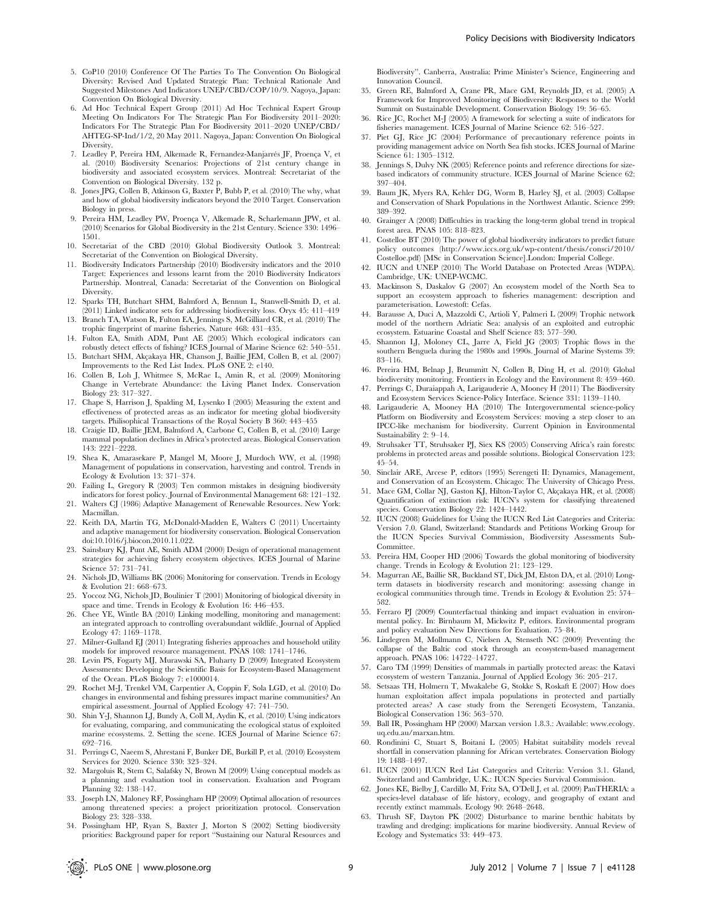- 5. CoP10 (2010) Conference Of The Parties To The Convention On Biological Diversity: Revised And Updated Strategic Plan: Technical Rationale And Suggested Milestones And Indicators UNEP/CBD/COP/10/9. Nagoya, Japan: Convention On Biological Diversity.
- 6. Ad Hoc Technical Expert Group (2011) Ad Hoc Technical Expert Group Meeting On Indicators For The Strategic Plan For Biodiversity 2011–2020: Indicators For The Strategic Plan For Biodiversity 2011–2020 UNEP/CBD/ AHTEG-SP-Ind/1/2, 20 May 2011. Nagoya, Japan: Convention On Biological Diversity.
- 7. Leadley P, Pereira HM, Alkemade R, Fernandez-Manjarrés JF, Proença V, et al. (2010) Biodiversity Scenarios: Projections of 21st century change in biodiversity and associated ecosystem services. Montreal: Secretariat of the Convention on Biological Diversity. 132 p.
- 8. Jones JPG, Collen B, Atkinson G, Baxter P, Bubb P, et al. (2010) The why, what and how of global biodiversity indicators beyond the 2010 Target. Conservation Biology in press.
- 9. Pereira HM, Leadley PW, Proença V, Alkemade R, Scharlemann JPW, et al. (2010) Scenarios for Global Biodiversity in the 21st Century. Science 330: 1496– 1501.
- 10. Secretariat of the CBD (2010) Global Biodiversity Outlook 3. Montreal: Secretariat of the Convention on Biological Diversity.
- 11. Biodiversity Indicators Partnership (2010) Biodiversity indicators and the 2010 Target: Experiences and lessons learnt from the 2010 Biodiversity Indicators Partnership. Montreal, Canada: Secretariat of the Convention on Biological **Diversity**
- 12. Sparks TH, Butchart SHM, Balmford A, Bennun L, Stanwell-Smith D, et al. (2011) Linked indicator sets for addressing biodiversity loss. Oryx 45: 411–419
- 13. Branch TA, Watson R, Fulton EA, Jennings S, McGilliard CR, et al. (2010) The trophic fingerprint of marine fisheries. Nature 468: 431–435.
- 14. Fulton EA, Smith ADM, Punt AE (2005) Which ecological indicators can robustly detect effects of fishing? ICES Journal of Marine Science 62: 540–551. 15. Butchart SHM, Akçakaya HR, Chanson J, Baillie JEM, Collen B, et al. (2007)
- Improvements to the Red List Index. PLoS ONE 2: e140.
- 16. Collen B, Loh J, Whitmee S, McRae L, Amin R, et al. (2009) Monitoring Change in Vertebrate Abundance: the Living Planet Index. Conservation Biology 23: 317–327.
- 17. Chape S, Harrison J, Spalding M, Lysenko I (2005) Measuring the extent and effectiveness of protected areas as an indicator for meeting global biodiversity targets. Philisophical Transactions of the Royal Society B 360: 443–455
- 18. Craigie ID, Baillie JEM, Balmford A, Carbone C, Collen B, et al. (2010) Large mammal population declines in Africa's protected areas. Biological Conservation 143: 2221–2228.
- 19. Shea K, Amarasekare P, Mangel M, Moore J, Murdoch WW, et al. (1998) Management of populations in conservation, harvesting and control. Trends in Ecology & Evolution 13: 371–374.
- 20. Failing L, Gregory R (2003) Ten common mistakes in designing biodiversity indicators for forest policy. Journal of Environmental Management 68: 121–132.
- 21. Walters CJ (1986) Adaptive Management of Renewable Resources. New York: Macmillan.
- 22. Keith DA, Martin TG, McDonald-Madden E, Walters C (2011) Uncertainty and adaptive management for biodiversity conservation. Biological Conservation doi:10.1016/j.biocon.2010.11.022.
- 23. Sainsbury KJ, Punt AE, Smith ADM (2000) Design of operational management strategies for achieving fishery ecosystem objectives. ICES Journal of Marine Science 57: 731–741.
- 24. Nichols JD, Williams BK (2006) Monitoring for conservation. Trends in Ecology & Evolution 21: 668–673.
- 25. Yoccoz NG, Nichols JD, Boulinier T (2001) Monitoring of biological diversity in space and time. Trends in Ecology & Evolution 16: 446–453.
- 26. Chee YE, Wintle BA (2010) Linking modelling, monitoring and management: an integrated approach to controlling overabundant wildlife. Journal of Applied Ecology 47: 1169–1178.
- 27. Milner-Gulland EJ (2011) Integrating fisheries approaches and household utility models for improved resource management. PNAS 108: 1741–1746.
- 28. Levin PS, Fogarty MJ, Murawski SA, Fluharty D (2009) Integrated Ecosystem Assessments: Developing the Scientific Basis for Ecosystem-Based Management of the Ocean. PLoS Biology 7: e1000014.
- 29. Rochet M-J, Trenkel VM, Carpentier A, Coppin F, Sola LGD, et al. (2010) Do changes in environmental and fishing pressures impact marine communities? An empirical assessment. Journal of Applied Ecology 47: 741–750.
- 30. Shin Y-J, Shannon LJ, Bundy A, Coll M, Aydin K, et al. (2010) Using indicators for evaluating, comparing, and communicating the ecological status of exploited marine ecosystems. 2. Setting the scene. ICES Journal of Marine Science 67: 692–716.
- 31. Perrings C, Naeem S, Ahrestani F, Bunker DE, Burkill P, et al. (2010) Ecosystem Services for 2020. Science 330: 323–324.
- 32. Margoluis R, Stem C, Salafsky N, Brown M (2009) Using conceptual models as a planning and evaluation tool in conservation. Evaluation and Program Planning 32: 138–147.
- 33. Joseph LN, Maloney RF, Possingham HP (2009) Optimal allocation of resources among threatened species: a project prioritization protocol. Conservation Biology 23: 328–338.
- 34. Possingham HP, Ryan S, Baxter J, Morton S (2002) Setting biodiversity priorities: Background paper for report ''Sustaining our Natural Resources and

Biodiversity''. Canberra, Australia: Prime Minister's Science, Engineering and Innovation Council.

- 35. Green RE, Balmford A, Crane PR, Mace GM, Reynolds JD, et al. (2005) A Framework for Improved Monitoring of Biodiversity: Responses to the World Summit on Sustainable Development. Conservation Biology 19: 56–65.
- 36. Rice JC, Rochet M-J (2005) A framework for selecting a suite of indicators for fisheries management. ICES Journal of Marine Science 62: 516–527.
- 37. Piet GJ, Rice JC (2004) Performance of precautionary reference points in providing management advice on North Sea fish stocks. ICES Journal of Marine Science 61: 1305–1312.
- 38. Jennings S, Dulvy NK (2005) Reference points and reference directions for sizebased indicators of community structure. ICES Journal of Marine Science 62: 397–404.
- 39. Baum JK, Myers RA, Kehler DG, Worm B, Harley SJ, et al. (2003) Collapse and Conservation of Shark Populations in the Northwest Atlantic. Science 299: 389–392.
- 40. Grainger A (2008) Difficulties in tracking the long-term global trend in tropical forest area. PNAS 105: 818–823.
- 41. Costelloe BT (2010) The power of global biodiversity indicators to predict future policy outcomes (http://www.iccs.org.uk/wp-content/thesis/consci/2010/ Costelloe.pdf) [MSc in Conservation Science].London: Imperial College.
- 42. IUCN and UNEP (2010) The World Database on Protected Areas (WDPA). Cambridge, UK: UNEP-WCMC.
- 43. Mackinson S, Daskalov G (2007) An ecosystem model of the North Sea to support an ecosystem approach to fisheries management: description and parameterisation. Lowestoft: Cefas.
- 44. Barausse A, Duci A, Mazzoldi C, Artioli Y, Palmeri L (2009) Trophic network model of the northern Adriatic Sea: analysis of an exploited and eutrophic ecosystem. Estuarine Coastal and Shelf Science 83: 577–590.
- 45. Shannon LJ, Moloney CL, Jarre A, Field JG (2003) Trophic flows in the southern Benguela during the 1980s and 1990s. Journal of Marine Systems 39: 83–116.
- 46. Pereira HM, Belnap J, Brummitt N, Collen B, Ding H, et al. (2010) Global biodiversity monitoring. Frontiers in Ecology and the Environment 8: 459–460.
- 47. Perrings C, Duraiappah A, Larigauderie A, Mooney H (2011) The Biodiversity and Ecosystem Services Science-Policy Interface. Science 331: 1139–1140.
- 48. Larigauderie A, Mooney HA (2010) The Intergovernmental science-policy Platform on Biodiversity and Ecosystem Services: moving a step closer to an IPCC-like mechanism for biodiversity. Current Opinion in Environmental Sustainability 2: 9–14.
- 49. Struhsaker TT, Struhsaker PJ, Siex KS (2005) Conserving Africa's rain forests: problems in protected areas and possible solutions. Biological Conservation 123: 45–54.
- 50. Sinclair ARE, Arcese P, editors (1995) Serengeti II: Dynamics, Management, and Conservation of an Ecosystem. Chicago: The University of Chicago Press.
- 51. Mace GM, Collar NJ, Gaston KJ, Hilton-Taylor C, Akçakaya HR, et al. (2008) Quantification of extinction risk: IUCN's system for classifying threatened species. Conservation Biology 22: 1424–1442.
- 52. IUCN (2008) Guidelines for Using the IUCN Red List Categories and Criteria: Version 7.0. Gland, Switzerland: Standards and Petitions Working Group for the IUCN Species Survival Commission, Biodiversity Assessments Sub-Committee.
- 53. Pereira HM, Cooper HD (2006) Towards the global monitoring of biodiversity change. Trends in Ecology & Evolution 21: 123–129.
- 54. Magurran AE, Baillie SR, Buckland ST, Dick JM, Elston DA, et al. (2010) Longterm datasets in biodiversity research and monitoring: assessing change in ecological communities through time. Trends in Ecology & Evolution 25: 574– 582.
- 55. Ferraro PJ (2009) Counterfactual thinking and impact evaluation in environmental policy. In: Birnbaum M, Mickwitz P, editors. Environmental program and policy evaluation New Directions for Evaluation. 75–84.
- 56. Lindegren M, Mollmann C, Nielsen A, Stenseth NC (2009) Preventing the collapse of the Baltic cod stock through an ecosystem-based management approach. PNAS 106: 14722–14727.
- 57. Caro TM (1999) Densities of mammals in partially protected areas: the Katavi ecosystem of western Tanzania. Journal of Applied Ecology 36: 205–217.
- 58. Setsaas TH, Holmern T, Mwakalebe G, Stokke S, Roskaft E (2007) How does human exploitation affect impala populations in protected and partially protected areas? A case study from the Serengeti Ecosystem, Tanzania. Biological Conservation 136: 563–570.
- 59. Ball IR, Possingham HP (2000) Marxan version 1.8.3.: Available: www.ecology. uq.edu.au/marxan.htm.
- 60. Rondinini C, Stuart S, Boitani L (2005) Habitat suitability models reveal shortfall in conservation planning for African vertebrates. Conservation Biology 19: 1488–1497.
- 61. IUCN (2001) IUCN Red List Categories and Criteria: Version 3.1. Gland, Switzerland and Cambridge, U.K.: IUCN Species Survival Commission.
- 62. Jones KE, Bielby J, Cardillo M, Fritz SA, O'Dell J, et al. (2009) PanTHERIA: a species-level database of life history, ecology, and geography of extant and recently extinct mammals. Ecology 90: 2648–2648.
- 63. Thrush SF, Dayton PK (2002) Disturbance to marine benthic habitats by trawling and dredging: implications for marine biodiversity. Annual Review of Ecology and Systematics 33: 449–473.